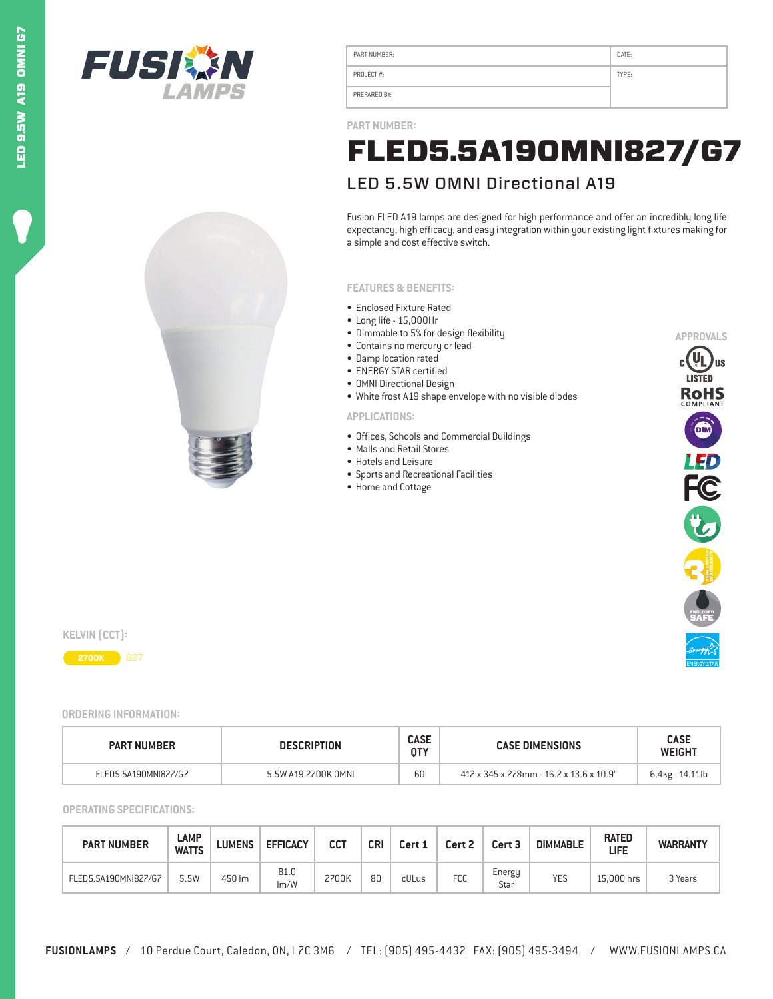



| PART NUMBER: | DATE: |
|--------------|-------|
| PROJECT#:    | TYPE: |
| PREPARED BY: |       |

**PART NUMBER:**

## LED 5.5W OMNI Directional A19 FLED5.5A19OMNI827/G7

Fusion FLED A19 lamps are designed for high performance and offer an incredibly long life expectancy, high efficacy, and easy integration within your existing light fixtures making for a simple and cost effective switch.

#### **FEATURES & BENEFITS:**

- Enclosed Fixture Rated
- Long life 15,000Hr
- Dimmable to 5% for design flexibility
- Contains no mercury or lead
- Damp location rated
- ENERGY STAR certified
- OMNI Directional Design
- White frost A19 shape envelope with no visible diodes

#### **APPLICATIONS:**

- Offices, Schools and Commercial Buildings
- Malls and Retail Stores
- Hotels and Leisure
- Sports and Recreational Facilities
- Home and Cottage



**KELVIN (CCT):**



### **ORDERING INFORMATION:**

| <b>PART NUMBER</b>   | <b>DESCRIPTION</b>  |    | <b>CASE DIMENSIONS</b>                  | <b>CASE</b><br><b>WEIGHT</b> |  |
|----------------------|---------------------|----|-----------------------------------------|------------------------------|--|
| FLED5.5A190MNI827/G7 | 5.5W A19 2700K OMNL | 60 | 412 x 345 x 278mm - 16.2 x 13.6 x 10.9" | 6.4kg - 14.11lb              |  |

**OPERATING SPECIFICATIONS:**

| <b>PART NUMBER</b>   | LAMP<br><b>WATTS</b> | <b>LUMENS</b> | <b>EFFICACY</b> | сст   | CRI | Cert 1 | Cert 2     | Cert 3         | <b>DIMMABLE</b> | <b>RATED</b><br>LIFE | <b>WARRANTY</b> |
|----------------------|----------------------|---------------|-----------------|-------|-----|--------|------------|----------------|-----------------|----------------------|-----------------|
| FLED5.5A190MNI827/G7 | 5.5W                 | 450 lm        | 81.0<br>Im/W    | 2700K | 80  | cULus  | <b>FCC</b> | Energy<br>Star | <b>YES</b>      | 15.000 hrs           | 3 Years         |